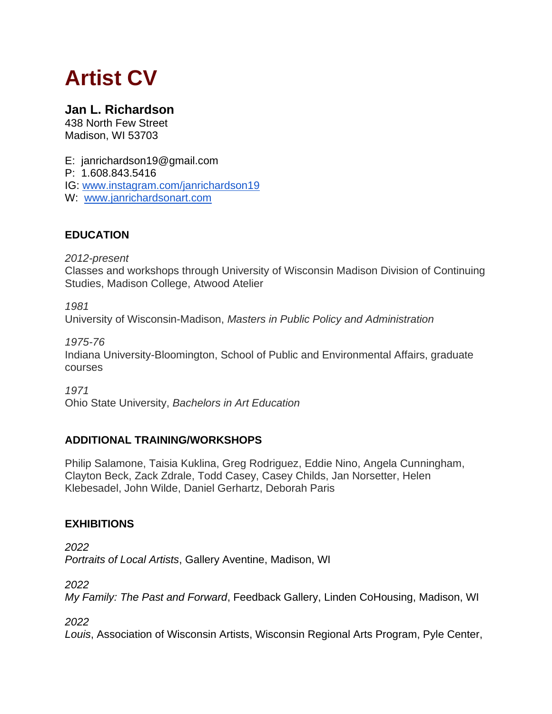# **Artist CV**

## **Jan L. Richardson**

438 North Few Street Madison, WI 53703

E: janrichardson19@gmail.com P: 1.608.843.5416 IG: [www.instagram.com/janrichardson19](http://www.instagram.com/janrichardson19)

W: [www.janrichardsonart.com](http://www.janrichardsonart.com/)

### **EDUCATION**

*2012-present*

Classes and workshops through University of Wisconsin Madison Division of Continuing Studies, Madison College, Atwood Atelier

*1981*

University of Wisconsin-Madison, *Masters in Public Policy and Administration*

*1975-76*

Indiana University-Bloomington, School of Public and Environmental Affairs, graduate courses

*1971*

Ohio State University, *Bachelors in Art Education*

### **ADDITIONAL TRAINING/WORKSHOPS**

Philip Salamone, Taisia Kuklina, Greg Rodriguez, Eddie Nino, Angela Cunningham, Clayton Beck, Zack Zdrale, Todd Casey, Casey Childs, Jan Norsetter, Helen Klebesadel, John Wilde, Daniel Gerhartz, Deborah Paris

### **EXHIBITIONS**

*2022 Portraits of Local Artists*, Gallery Aventine, Madison, WI

*2022*

*My Family: The Past and Forward*, Feedback Gallery, Linden CoHousing, Madison, WI

*2022*

*Louis*, Association of Wisconsin Artists, Wisconsin Regional Arts Program, Pyle Center,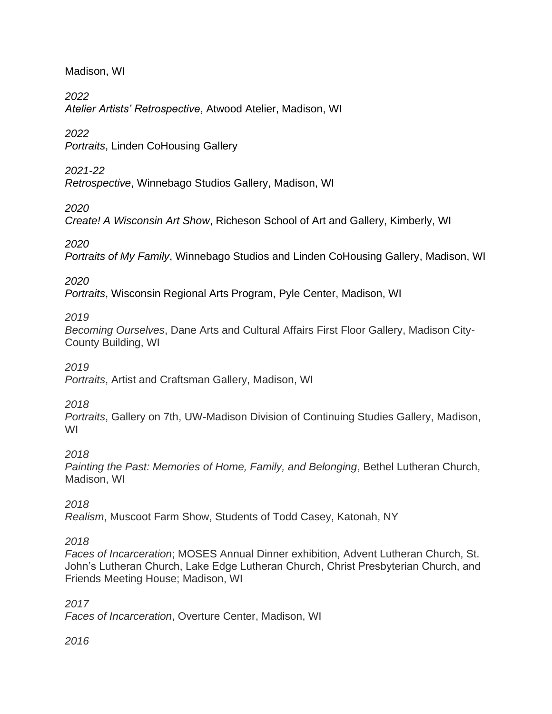Madison, WI

*2022*

*Atelier Artists' Retrospective*, Atwood Atelier, Madison, WI

*2022*

*Portraits*, Linden CoHousing Gallery

*2021-22*

*Retrospective*, Winnebago Studios Gallery, Madison, WI

*2020*

*Create! A Wisconsin Art Show*, Richeson School of Art and Gallery, Kimberly, WI

*2020*

*Portraits of My Family*, Winnebago Studios and Linden CoHousing Gallery, Madison, WI

*2020*

*Portraits*, Wisconsin Regional Arts Program, Pyle Center, Madison, WI

*2019*

*Becoming Ourselves*, Dane Arts and Cultural Affairs First Floor Gallery, Madison City-County Building, WI

*2019*

*Portraits*, Artist and Craftsman Gallery, Madison, WI

*2018*

*Portraits*, Gallery on 7th, UW-Madison Division of Continuing Studies Gallery, Madison, WI

*2018*

*Painting the Past: Memories of Home, Family, and Belonging*, Bethel Lutheran Church, Madison, WI

*2018*

*Realism*, Muscoot Farm Show, Students of Todd Casey, Katonah, NY

*2018*

*Faces of Incarceration*; MOSES Annual Dinner exhibition, Advent Lutheran Church, St. John's Lutheran Church, Lake Edge Lutheran Church, Christ Presbyterian Church, and Friends Meeting House; Madison, WI

*2017 Faces of Incarceration*, Overture Center, Madison, WI

*2016*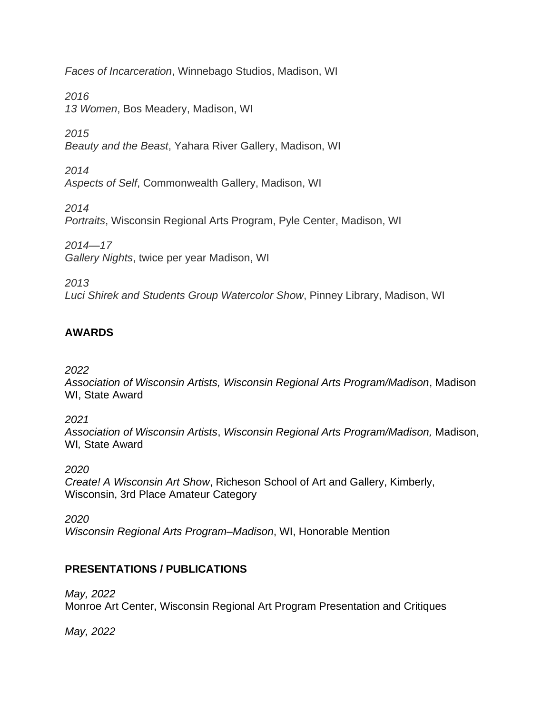*Faces of Incarceration*, Winnebago Studios, Madison, WI

*2016 13 Women*, Bos Meadery, Madison, WI

*2015 Beauty and the Beast*, Yahara River Gallery, Madison, WI

*2014 Aspects of Self*, Commonwealth Gallery, Madison, WI

*2014 Portraits*, Wisconsin Regional Arts Program, Pyle Center, Madison, WI

*2014—17 Gallery Nights*, twice per year Madison, WI

*2013 Luci Shirek and Students Group Watercolor Show*, Pinney Library, Madison, WI

### **AWARDS**

*2022*

*Association of Wisconsin Artists, Wisconsin Regional Arts Program/Madison*, Madison WI, State Award

*2021*

*Association of Wisconsin Artists*, *Wisconsin Regional Arts Program/Madison,* Madison, WI*,* State Award

*2020*

*Create! A Wisconsin Art Show*, Richeson School of Art and Gallery, Kimberly, Wisconsin, 3rd Place Amateur Category

*2020 Wisconsin Regional Arts Program–Madison*, WI, Honorable Mention

### **PRESENTATIONS / PUBLICATIONS**

*May, 2022* Monroe Art Center, Wisconsin Regional Art Program Presentation and Critiques

*May, 2022*